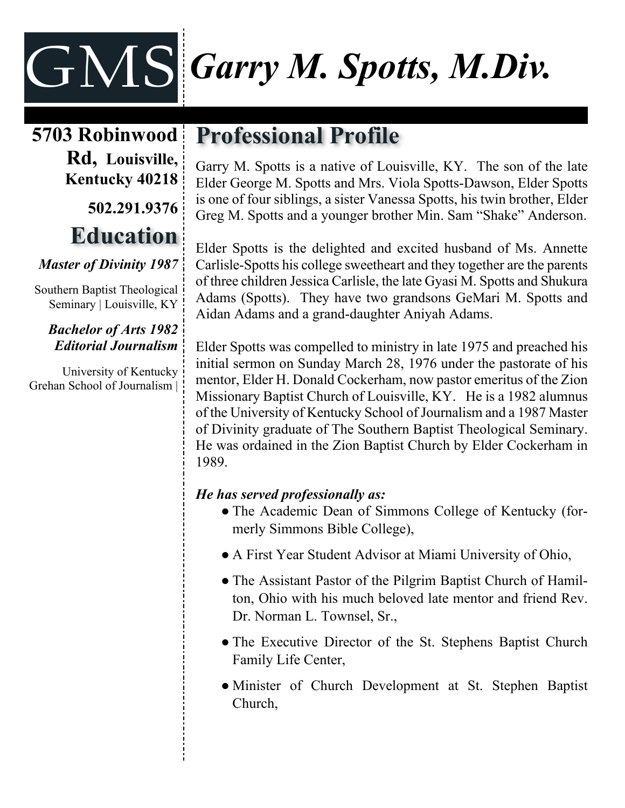# GMS *Garry M. Spotts, M.Div.*

**5703 Robinwood Rd, Louisville, Kentucky 40218 502.291.9376**

## **Education**

#### *Master of Divinity 1987*

Southern Baptist Theological Seminary | Louisville, KY

#### *Bachelor of Arts 1982 Editorial Journalism*

University of Kentucky Grehan School of Journalism |

### **Professional Profile**

Garry M. Spotts is a native of Louisville, KY. The son of the late Elder George M. Spotts and Mrs. Viola Spotts-Dawson, Elder Spotts is one of four siblings, a sister Vanessa Spotts, his twin brother, Elder Greg M. Spotts and a younger brother Min. Sam "Shake" Anderson.

Elder Spotts is the delighted and excited husband of Ms. Annette Carlisle-Spotts his college sweetheart and they together are the parents of three children Jessica Carlisle, the late Gyasi M. Spotts and Shukura Adams (Spotts). They have two grandsons GeMari M. Spotts and Aidan Adams and a grand-daughter Aniyah Adams.

Elder Spotts was compelled to ministry in late 1975 and preached his initial sermon on Sunday March 28, 1976 under the pastorate of his mentor, Elder H. Donald Cockerham, now pastor emeritus of the Zion Missionary Baptist Church of Louisville, KY. He is a 1982 alumnus of the University of Kentucky School of Journalism and a 1987 Master of Divinity graduate of The Southern Baptist Theological Seminary. He was ordained in the Zion Baptist Church by Elder Cockerham in 1989.

#### *He has served professionally as:*

- The Academic Dean of Simmons College of Kentucky (formerly Simmons Bible College),
- A First Year Student Advisor at Miami University of Ohio,
- The Assistant Pastor of the Pilgrim Baptist Church of Hamilton, Ohio with his much beloved late mentor and friend Rev. Dr. Norman L. Townsel, Sr.,
- The Executive Director of the St. Stephens Baptist Church Family Life Center,
- Minister of Church Development at St. Stephen Baptist Church,